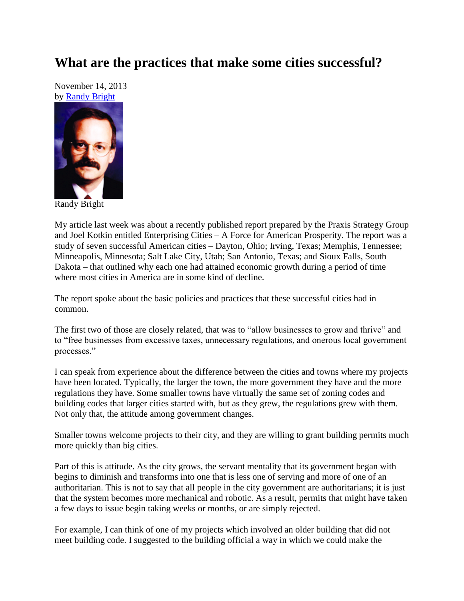## **What are the practices that make some cities successful?**

November 14, 2013 by [Randy Bright](http://tulsabeacon.com/writers/randy-bright/)



Randy Bright

My article last week was about a recently published report prepared by the Praxis Strategy Group and Joel Kotkin entitled Enterprising Cities – A Force for American Prosperity. The report was a study of seven successful American cities – Dayton, Ohio; Irving, Texas; Memphis, Tennessee; Minneapolis, Minnesota; Salt Lake City, Utah; San Antonio, Texas; and Sioux Falls, South Dakota – that outlined why each one had attained economic growth during a period of time where most cities in America are in some kind of decline.

The report spoke about the basic policies and practices that these successful cities had in common.

The first two of those are closely related, that was to "allow businesses to grow and thrive" and to "free businesses from excessive taxes, unnecessary regulations, and onerous local government processes."

I can speak from experience about the difference between the cities and towns where my projects have been located. Typically, the larger the town, the more government they have and the more regulations they have. Some smaller towns have virtually the same set of zoning codes and building codes that larger cities started with, but as they grew, the regulations grew with them. Not only that, the attitude among government changes.

Smaller towns welcome projects to their city, and they are willing to grant building permits much more quickly than big cities.

Part of this is attitude. As the city grows, the servant mentality that its government began with begins to diminish and transforms into one that is less one of serving and more of one of an authoritarian. This is not to say that all people in the city government are authoritarians; it is just that the system becomes more mechanical and robotic. As a result, permits that might have taken a few days to issue begin taking weeks or months, or are simply rejected.

For example, I can think of one of my projects which involved an older building that did not meet building code. I suggested to the building official a way in which we could make the